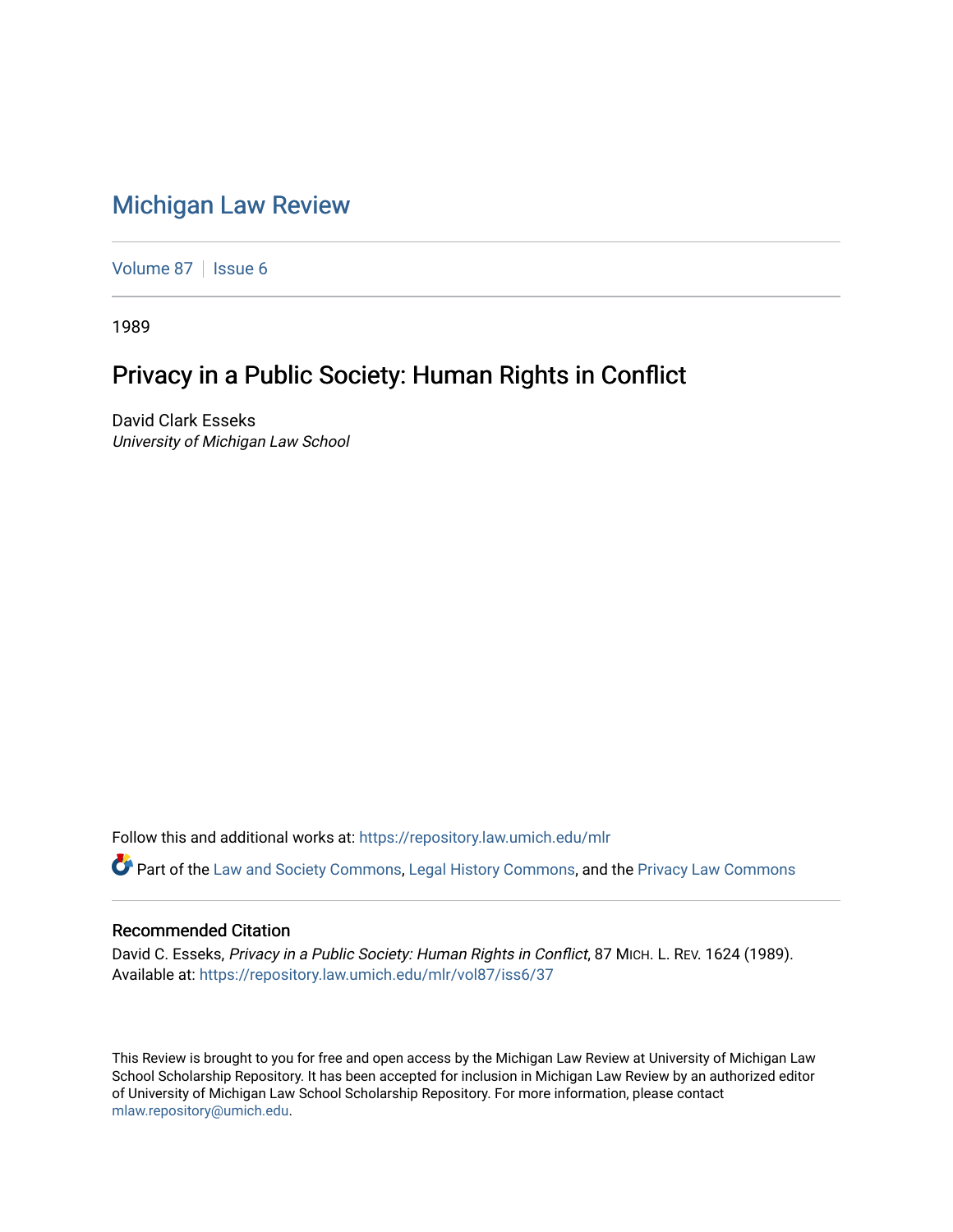## [Michigan Law Review](https://repository.law.umich.edu/mlr)

[Volume 87](https://repository.law.umich.edu/mlr/vol87) | [Issue 6](https://repository.law.umich.edu/mlr/vol87/iss6)

1989

## Privacy in a Public Society: Human Rights in Conflict

David Clark Esseks University of Michigan Law School

Follow this and additional works at: [https://repository.law.umich.edu/mlr](https://repository.law.umich.edu/mlr?utm_source=repository.law.umich.edu%2Fmlr%2Fvol87%2Fiss6%2F37&utm_medium=PDF&utm_campaign=PDFCoverPages) 

Part of the [Law and Society Commons](http://network.bepress.com/hgg/discipline/853?utm_source=repository.law.umich.edu%2Fmlr%2Fvol87%2Fiss6%2F37&utm_medium=PDF&utm_campaign=PDFCoverPages), [Legal History Commons,](http://network.bepress.com/hgg/discipline/904?utm_source=repository.law.umich.edu%2Fmlr%2Fvol87%2Fiss6%2F37&utm_medium=PDF&utm_campaign=PDFCoverPages) and the [Privacy Law Commons](http://network.bepress.com/hgg/discipline/1234?utm_source=repository.law.umich.edu%2Fmlr%2Fvol87%2Fiss6%2F37&utm_medium=PDF&utm_campaign=PDFCoverPages) 

## Recommended Citation

David C. Esseks, Privacy in a Public Society: Human Rights in Conflict, 87 MICH. L. REV. 1624 (1989). Available at: [https://repository.law.umich.edu/mlr/vol87/iss6/37](https://repository.law.umich.edu/mlr/vol87/iss6/37?utm_source=repository.law.umich.edu%2Fmlr%2Fvol87%2Fiss6%2F37&utm_medium=PDF&utm_campaign=PDFCoverPages) 

This Review is brought to you for free and open access by the Michigan Law Review at University of Michigan Law School Scholarship Repository. It has been accepted for inclusion in Michigan Law Review by an authorized editor of University of Michigan Law School Scholarship Repository. For more information, please contact [mlaw.repository@umich.edu.](mailto:mlaw.repository@umich.edu)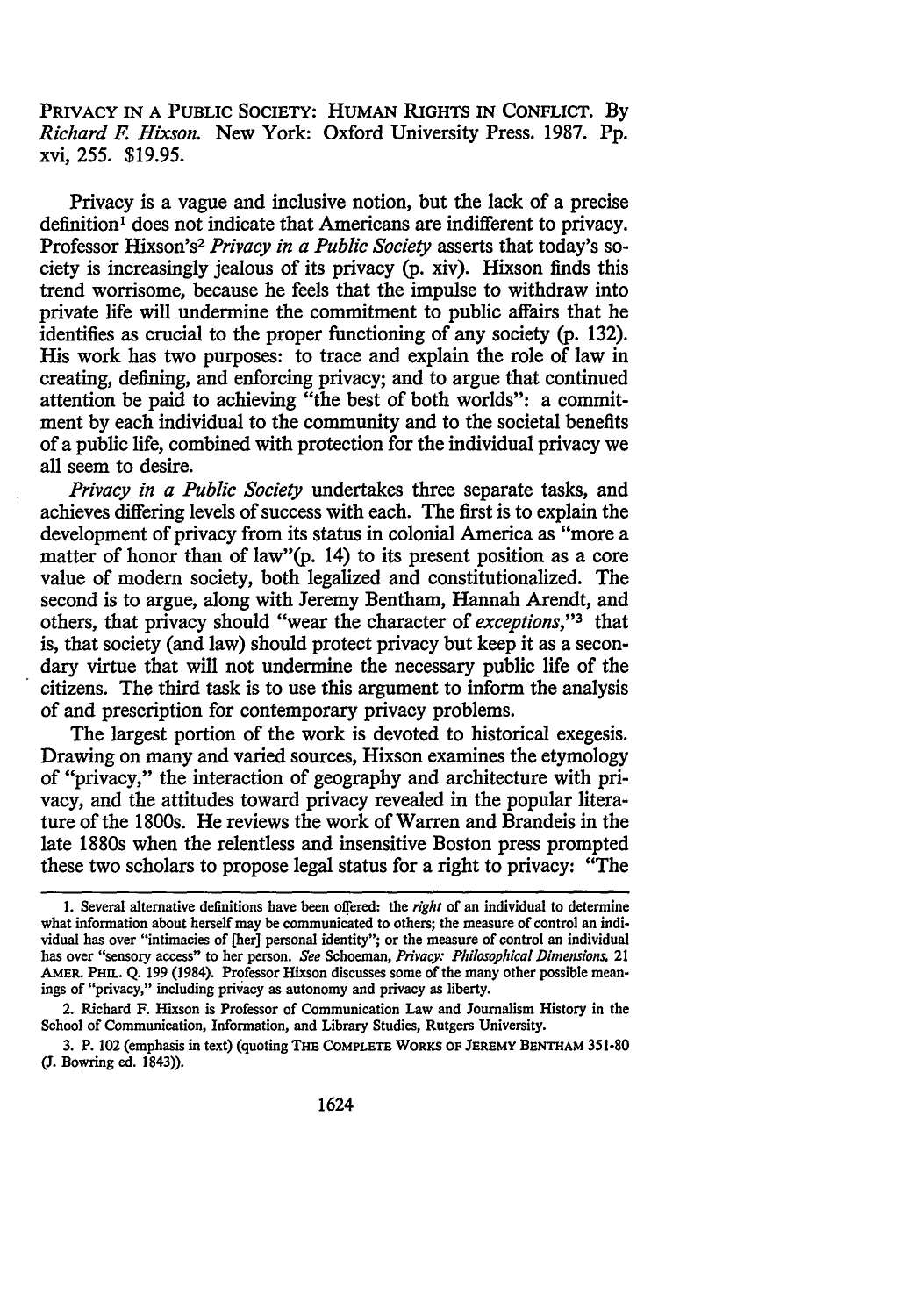PRIVACY IN A PUBLIC SOCIETY: HUMAN RIGHTS IN CONFLICT. By *Richard F. Hixson.* New York: Oxford University Press. 1987. Pp. xvi, 255. \$19.95.

Privacy is a vague and inclusive notion, but the lack of a precise definition<sup>1</sup> does not indicate that Americans are indifferent to privacy. Professor Hixson's2 *Privacy in a Public Society* asserts that today's society is increasingly jealous of its privacy (p. xiv). Hixson finds this trend worrisome, because he feels that the impulse to withdraw into private life will undermine the commitment to public affairs that he identifies as crucial to the proper functioning of any society (p. 132). His work has two purposes: to trace and explain the role of law in creating, defining, and enforcing privacy; and to argue that continued attention be paid to achieving "the best of both worlds": a commitment by each individual to the community and to the societal benefits of a public life, combined with protection for the individual privacy we all seem to desire.

*Privacy in a Public Society* undertakes three separate tasks, and achieves differing levels of success with each. The first is to explain the development of privacy from its status in colonial America as "more a matter of honor than of law"(p. 14) to its present position as a core value of modem society, both legalized and constitutionalized. The second is to argue, along with Jeremy Bentham, Hannah Arendt, and others, that privacy should "wear the character of *exceptions,"3* that is, that society (and law) should protect privacy but keep it as a secondary virtue that will not undermine the necessary public life of the citizens. The third task is to use this argument to inform the analysis of and prescription for contemporary privacy problems.

The largest portion of the work is devoted to historical exegesis. Drawing on many and varied sources, Hixson examines the etymology of "privacy," the interaction of geography and architecture with privacy, and the attitudes toward privacy revealed in the popular literature of the 1800s. He reviews the work of Warren and Brandeis in the late 1880s when the relentless and insensitive Boston press prompted these two scholars to propose legal status for a right to privacy: "The

<sup>1.</sup> Several alternative definitions have been offered: the *right* of an individual to determine what information about herself may be communicated to others; the measure of control an individual has over "intimacies of [her] personal identity"; or the measure of control an individual has over "sensory access" to her person. *See* Schoeman, *Privacy: Philosophical Dimensions,* 21 AMER. PHIL. Q. 199 (1984). Professor Hixson discusses some of the many other possible mean· ings of "privacy," including privacy as autonomy and privacy as liberty.

<sup>2.</sup> Richard F. Hixson is Professor of Communication Law and Journalism History in the School of Communication, Information, and Library Studies, Rutgers University.

<sup>3.</sup> P. 102 (emphasis in text) (quoting THE COMPLETE WORKS OF JEREMY BENTHAM 351-80 (J. Bowring ed. 1843)).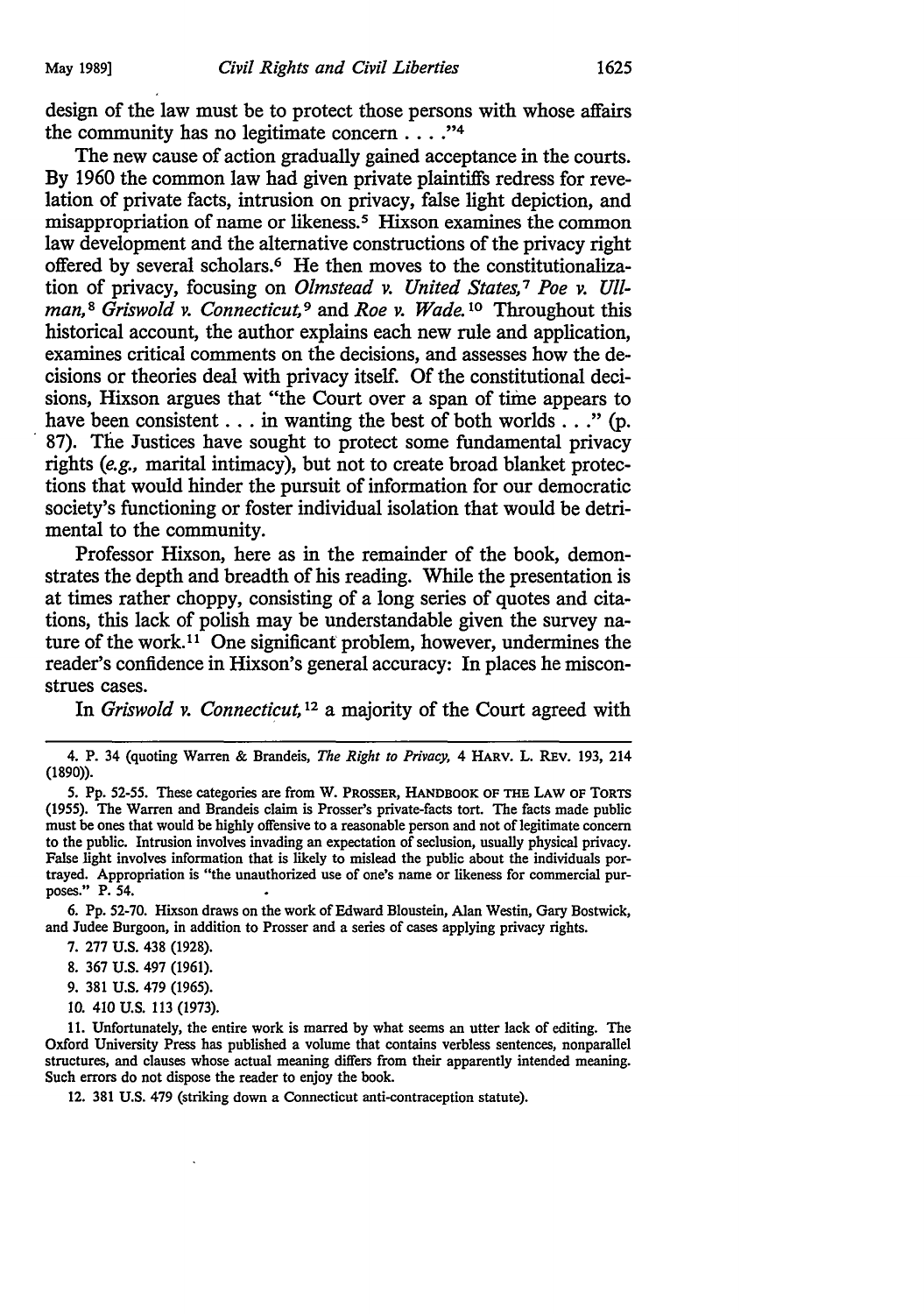design of the law must be to protect those persons with whose affairs the community has no legitimate concern  $\ldots$ ."<sup>4</sup>

The new cause of action gradually gained acceptance in the courts. By 1960 the common law had given private plaintiffs redress for revelation of private facts, intrusion on privacy, false light depiction, and misappropriation of name or likeness.<sup>5</sup> Hixson examines the common law development and the alternative constructions of the privacy right offered by several scholars.<sup>6</sup> He then moves to the constitutionalization of privacy, focusing on *Olmstead v. United States*,<sup>7</sup> Poe v. Ull*man,* <sup>8</sup>*Griswold v. Connecticut,* 9 and *Roe v. Wade.* 10 Throughout this historical account, the author explains each new rule and application, examines critical comments on the decisions, and assesses how the decisions or theories deal with privacy itself. Of the constitutional decisions, Hixson argues that "the Court over a span of time appears to have been consistent  $\dots$  in wanting the best of both worlds  $\dots$  " (p. · 87). The Justices have sought to protect some fundamental privacy rights (e.g., marital intimacy), but not to create broad blanket protections that would hinder the pursuit of information for our democratic society's functioning or foster individual isolation that would be detrimental to the community.

Professor Hixson, here as in the remainder of the book, demonstrates the depth and breadth of his reading. While the presentation is at times rather choppy, consisting of a long series of quotes and citations, this lack of polish may be understandable given the survey nature of the work. 11 One significant problem, however, undermines the reader's confidence in Hixson's general accuracy: In places he misconstrues cases.

In *Griswold v. Connecticut,* 12 a majority of the Court agreed with

6. Pp. 52-70. Hixson draws on the work of Edward Bloustein, Alan Westin, Gary Bostwick, and Judee Burgoon, in addition to Prosser and a series of cases applying privacy rights.

- 7. 277 U.S. 438 (1928).
- 8. 367 U.S. 497 (1961).
- 9. 381 U.S. 479 (1965).
- IO. 410 U.S. 113 (1973).

11. Unfortunately, the entire work is marred by what seems an utter lack of editing. The Oxford University Press has published a volume that contains verbless sentences, nonparallel structures, and clauses whose actual meaning differs from their apparently intended meaning. Such errors do not dispose the reader to enjoy the book.

12. 381 U.S. 479 (striking down a Connecticut anti-contraception statute).

<sup>4.</sup> P. 34 (quoting Warren & Brandeis, *The Right to Privacy,* 4 HARV. L. REv. 193, 214 (1890)).

<sup>5.</sup> Pp. 52-55. These categories are from W. PROSSER, HANDBOOK OF THE LAW OF TORTS (1955). The Warren and Brandeis claim is Prosser's private-facts tort. The facts made public must be ones that would be highly offensive to a reasonable person and not of legitimate concern to the public. Intrusion involves invading an expectation of seclusion, usually physical privacy. False light involves information that is likely to mislead the public about the individuals portrayed. Appropriation is "the unauthorized use of one's name or likeness for commercial purposes." P. 54.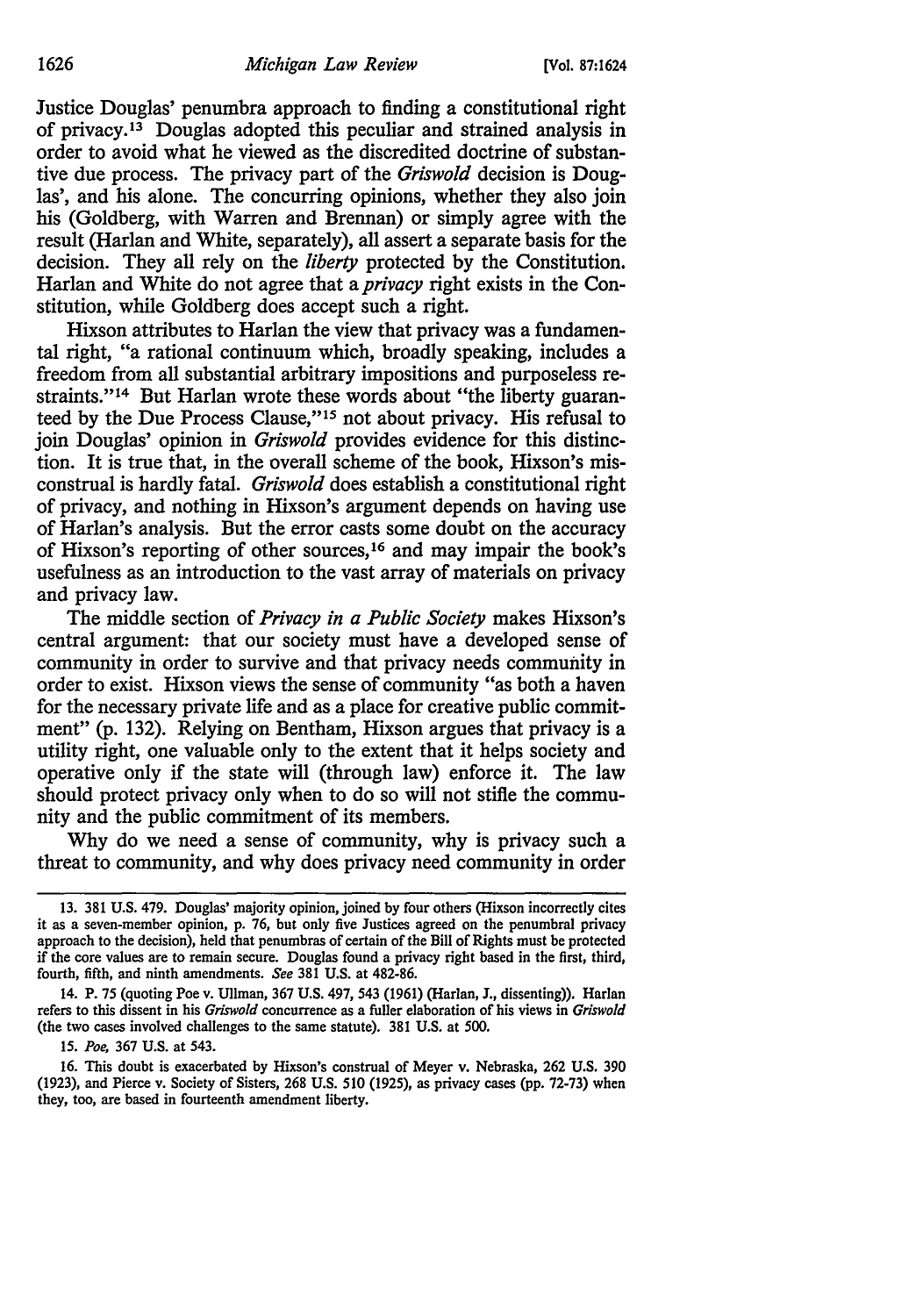Justice Douglas' penumbra approach to finding a constitutional right of privacy. 13 Douglas adopted this peculiar and strained analysis in order to avoid what he viewed as the discredited doctrine of substantive due process. The privacy part of the *Griswold* decision is Douglas', and his alone. The concurring opinions, whether they also join his (Goldberg, with Warren and Brennan) or simply agree with the result (Harlan and White, separately), all assert a separate basis for the decision. They all rely on the *liberty* protected by the Constitution. Harlan and White do not agree that a *privacy* right exists in the Constitution, while Goldberg does accept such a right.

Hixson attributes to Harlan the view that privacy was a fundamental right, "a rational continuum which, broadly speaking, includes a freedom from all substantial arbitrary impositions and purposeless restraints."<sup>14</sup> But Harlan wrote these words about "the liberty guaranteed by the Due Process Clause," 15 not about privacy. His refusal to join Douglas' opinion in *Griswold* provides evidence for this distinction. It is true that, in the overall scheme of the book, Hixson's misconstrual is hardly fatal. *Griswold* does establish a constitutional right of privacy, and nothing in Hixson's argument depends on having use of Harlan's analysis. But the error casts some doubt on the accuracy of Hixson's reporting of other sources, 16 and may impair the book's usefulness as an introduction to the vast array of materials on privacy and privacy law.

The middle section of *Privacy in a Public Society* makes Hixson's central argument: that our society must have a developed sense of community in order to survive and that privacy needs community in order to exist. Hixson views the sense of community "as both a haven for the necessary private life and as a place for creative public commitment" (p. 132). Relying on Bentham, Hixson argues that privacy is a utility right, one valuable only to the extent that it helps society and operative only if the state will (through law) enforce it. The law should protect privacy only when to do so will not stifle the community and the public commitment of its members.

Why do we need a sense of community, why is privacy such a threat to community, and why does privacy need community in order

15. *Poe,* 367 U.S. at 543.

16. This doubt is exacerbated by Hixson's construal of Meyer v. Nebraska, 262 U.S. 390 (1923), and Pierce v. Society of Sisters, 268 U.S. 510 (1925), as privacy cases (pp. 72-73) when they, too, are based in fourteenth amendment liberty.

<sup>13. 381</sup> U.S. 479. Douglas' majority opinion, joined by four others (Hixson incorrectly cites it as a seven-member opinion, p. 76, but only five Justices agreed on the penumbra! privacy approach to the decision), held that penumbras of certain of the Bill of Rights must be protected if the core values are to remain secure. Douglas found a privacy right based in the first, third, fourth, fifth, and ninth amendments. *See* 381 U.S. at 482-86.

<sup>14.</sup> P. 75 (quoting Poe v. Ullman, 367 U.S. 497, 543 (1961) (Harlan, J., dissenting)). Harlan refers to this dissent in his *Griswold* concurrence as a fuller elaboration of his views in *Griswold*  (the two cases involved challenges to the same statute). 381 U.S. at 500.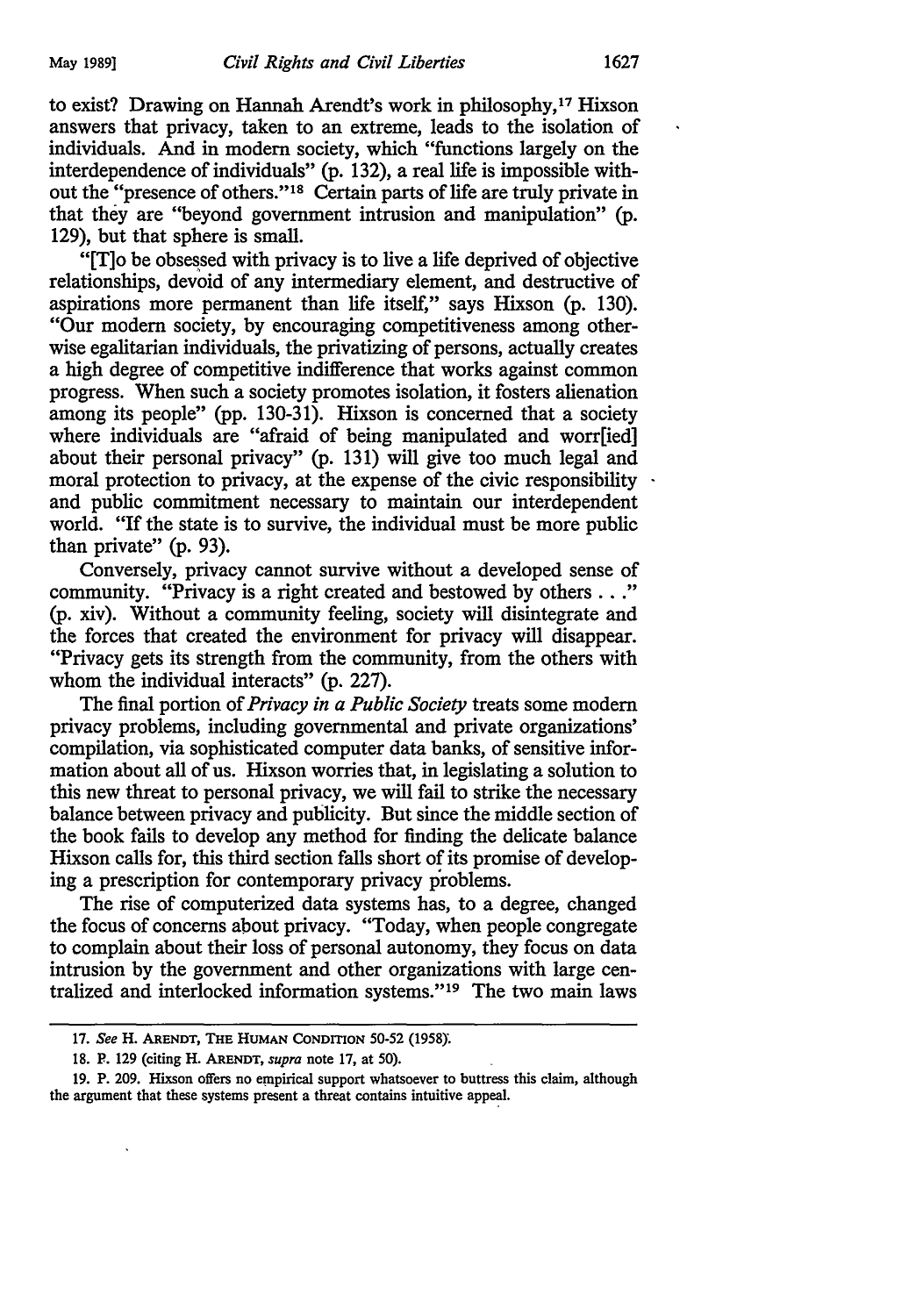to exist? Drawing on Hannah Arendt's work in philosophy,17 Hixson answers that privacy, taken to an extreme, leads to the isolation of individuals. And in modern society, which "functions largely on the interdependence of individuals" (p. 132), a real life is impossible without the "presence of others."<sup>18</sup> Certain parts of life are truly private in that they are "beyond government intrusion and manipulation" (p. 129), but that sphere is small.

"[T]o be obsessed with privacy is to live a life deprived of objective relationships, devoid of any intermediary element, and destructive of aspirations more permanent than life itself," says Hixson (p. 130). "Our modern society, by encouraging competitiveness among otherwise egalitarian individuals, the privatizing of persons, actually creates a high degree of competitive indifference that works against common progress. When such a society promotes isolation, it fosters alienation among its people" (pp. 130-31). Hixson is concerned that a society where individuals are "afraid of being manipulated and worr[ied] about their personal privacy" (p. 131) will give too much legal and moral protection to privacy, at the expense of the civic responsibility. and public commitment necessary to maintain our interdependent world. "If the state is to survive, the individual must be more public than private" (p. 93).

Conversely, privacy cannot survive without a developed sense of community. "Privacy is a right created and bestowed by others ... " (p. xiv). Without a community feeling, society will disintegrate and the forces that created the environment for privacy will disappear. "Privacy gets its strength from the community, from the others with whom the individual interacts" (p. 227).

The final portion of *Privacy in a Public Society* treats some modern privacy problems, including governmental and private organizations' compilation, via sophisticated computer data banks, of sensitive information about all of us. Hixson worries that, in legislating a solution to this new threat to personal privacy, we will fail to strike the necessary balance between privacy and publicity. But since the middle section of the book fails to develop any method for finding the delicate balance Hixson calls for, this third section falls short of its promise of developing a prescription for contemporary privacy problems.

The rise of computerized data systems has, to a degree, changed the focus of concerns about privacy. "Today, when people congregate to complain about their loss of personal autonomy, they focus on data intrusion by the government and other organizations with large centralized and interlocked information systems." 19 The two main laws

<sup>17.</sup> *See* H. ARENDT, THE HUMAN CoNDffiON 50-52 (1958):

<sup>18.</sup> F. 129 (citing H. ARENDT, *supra* note 17, at 50).

<sup>19.</sup> P. 209. Hixson offers no empirical support whatsoever to buttress this claim, although the argument that these systems present a threat contains intuitive appeal.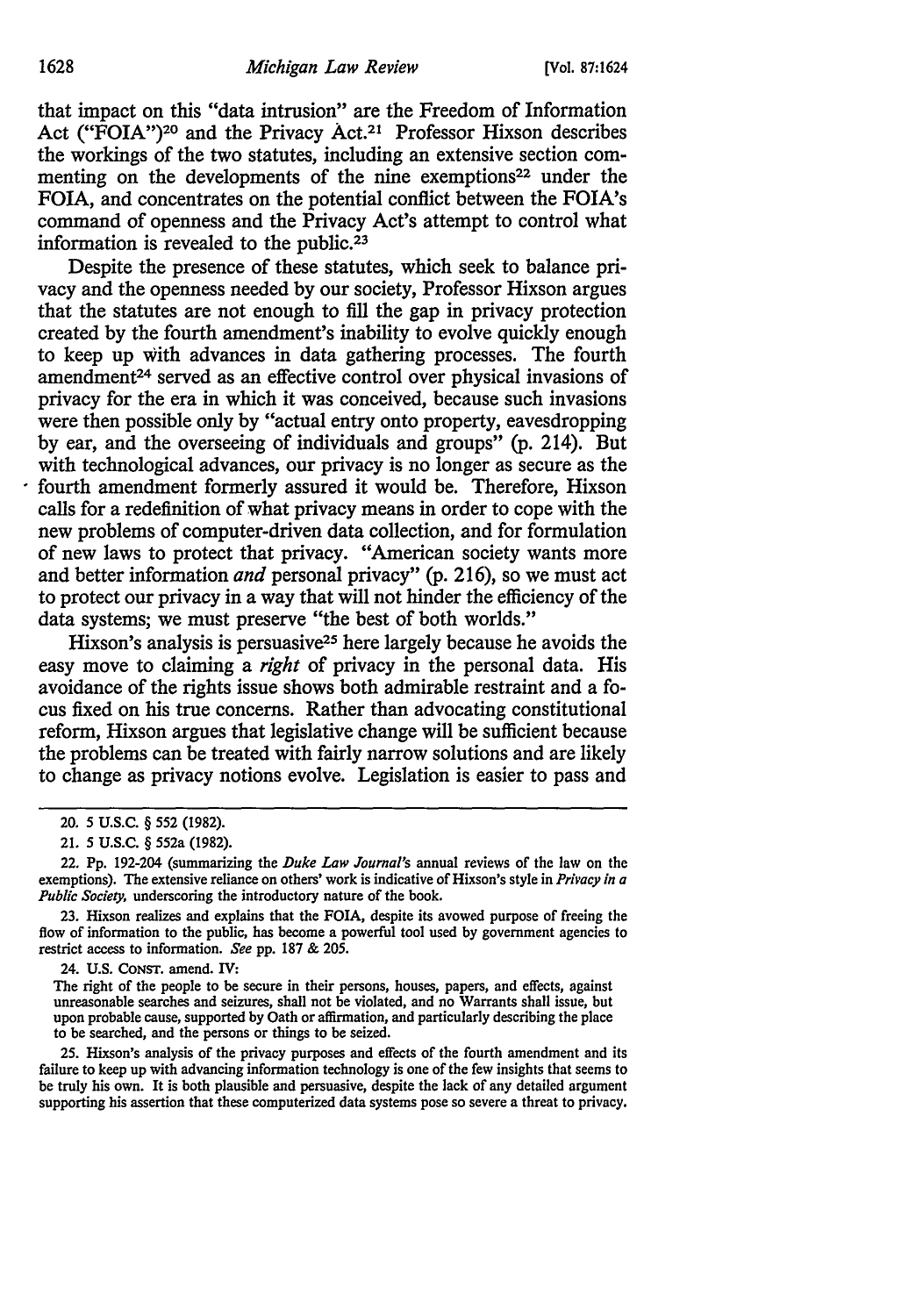that impact on this "data intrusion" are the Freedom of Information Act ("FOIA")<sup>20</sup> and the Privacy Act.<sup>21</sup> Professor Hixson describes the workings of the two statutes, including an extensive section commenting on the developments of the nine exemptions<sup>22</sup> under the FOIA, and concentrates on the potential conflict between the FOIA's command of openness and the Privacy Act's attempt to control what information is revealed to the public.<sup>23</sup>

Despite the presence of these statutes, which seek to balance privacy and the openness needed by our society, Professor Hixson argues that the statutes are not enough to fill the gap in privacy protection created by the fourth amendment's inability to evolve quickly enough to keep up with advances in data gathering processes. The fourth amendment<sup>24</sup> served as an effective control over physical invasions of privacy for the era in which it was conceived, because such invasions were then possible only by "actual entry onto property, eavesdropping by ear, and the overseeing of individuals and groups" (p. 214). But with technological advances, our privacy is no longer as secure as the fourth amendment formerly assured it would be. Therefore, Hixson calls for a redefinition of what privacy means in order to cope with the new problems of computer-driven data collection, and for formulation of new laws to protect that privacy. "American society wants more and better information *and* personal privacy" (p. 216), so we must act to protect our privacy in a way that will not hinder the efficiency of the data systems; we must preserve "the best of both worlds."

Hixson's analysis is persuasive25 here largely because he avoids the easy move to claiming a *right* of privacy in the personal data. His avoidance of the rights issue shows both admirable restraint and a focus fixed on his true concerns. Rather than advocating constitutional reform, Hixson argues that legislative change will be sufficient because the problems can be treated with fairly narrow solutions and are likely to change as privacy notions evolve. Legislation is easier to pass and

22. Pp. 192-204 (summarizing the *Duke Law Journal's* annual reviews of the law on the exemptions). The extensive reliance on others' work is indicative of Hixson's style in *Privacy in a Public Society*, underscoring the introductory nature of the book.

23. Hixson realizes and explains that the FOIA, despite its avowed purpose of freeing the flow of information to the public, has become a powerful tool used by government agencies to restrict access to information. *See* pp. 187 & 205.

The right of the people to be secure in their persons, houses, papers, and effects, against unreasonable searches and seizures, shall not be violated, and no Warrants shall issue, but upon probable cause, supported by Oath or affirmation, and particularly describing the place to be searched, and the persons or things to be seized.

25. Hixson's analysis of the privacy purposes and effects of the fourth amendment and its failure to keep up with advancing information technology is one of the few insights that seems to be truly his own. It is both plausible and persuasive, despite the lack of any detailed argument supporting his assertion that these computerized data systems pose so severe a threat to privacy,

<sup>20.</sup> *5* u.s.c. § 552 (1982).

<sup>21.</sup> *5* U.S.C. § 552a (1982).

<sup>24.</sup> U.S. CONST. amend. IV: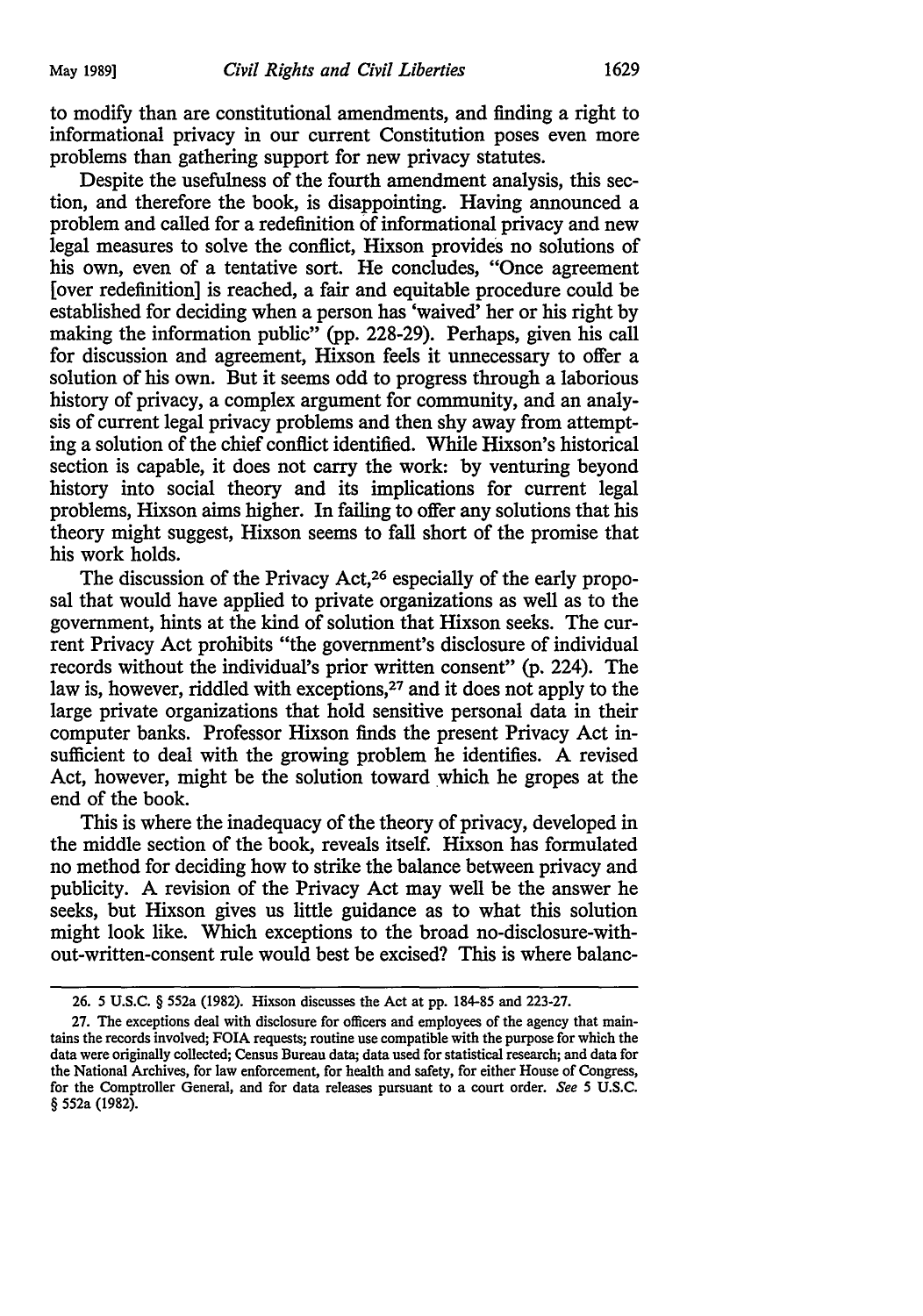to modify than are constitutional amendments, and finding a right to informational privacy in our current Constitution poses even more problems than gathering support for new privacy statutes.

Despite the usefulness of the fourth amendment analysis, this section, and therefore the book, is disappointing. Having announced a problem and called for a redefinition of informational privacy and new legal measures to solve the conflict, Hixson provides no solutions of his own, even of a tentative sort. He concludes, "Once agreement [over redefinition] is reached, a fair and equitable procedure could be established for deciding when a person has 'waived' her or his right by making the information public" (pp. 228-29). Perhaps, given his call for discussion and agreement, Hixson feels it unnecessary to offer a solution of his own. But it seems odd to progress through a laborious history of privacy, a complex argument for community, and an analysis of current legal privacy problems and then shy away from attempting a solution of the chief conflict identified. While Hixson's historical section is capable, it does not carry the work: by venturing beyond history into social theory and its implications for current legal problems, Hixson aims higher. In failing to offer any solutions that his theory might suggest, Hixson seems to fall short of the promise that his work holds.

The discussion of the Privacy Act,<sup>26</sup> especially of the early proposal that would have applied to private organizations as well as to the government, hints at the kind of solution that Hixson seeks. The current Privacy Act prohibits "the government's disclosure of individual records without the individual's prior written consent" (p. 224). The law is, however, riddled with exceptions,<sup>27</sup> and it does not apply to the large private organizations that hold sensitive personal data in their computer banks. Professor Hixson finds the present Privacy Act insufficient to deal with the growing problem he identifies. A revised Act, however, might be the solution toward which he gropes at the end of the book.

This is where the inadequacy of the theory of privacy, developed in the middle section of the book, reveals itself. Hixson has formulated no method for deciding how to strike the balance between privacy and publicity. A revision of the Privacy Act may well be the answer he seeks, but Hixson gives us little guidance as to what this solution might look like. Which exceptions to the broad no-disclosure-without-written-consent rule would best be excised? This is where balanc-

<sup>26. 5</sup> U.S.C. § 552a (1982). Hixson discusses the Act at pp. 184-85 and 223-27.

<sup>27.</sup> The exceptions deal with disclosure for officers and employees of the agency that maintains the records involved; FOIA requests; routine use compatible with the purpose for which the data were originally collected; Census Bureau data; data used for statistical research; and data for the National Archives, for law enforcement, for health and safety, for either House of Congress, for the Comptroller General, and for data releases pursuant to a court order. *See* 5 U.S.C. § 552a (1982).